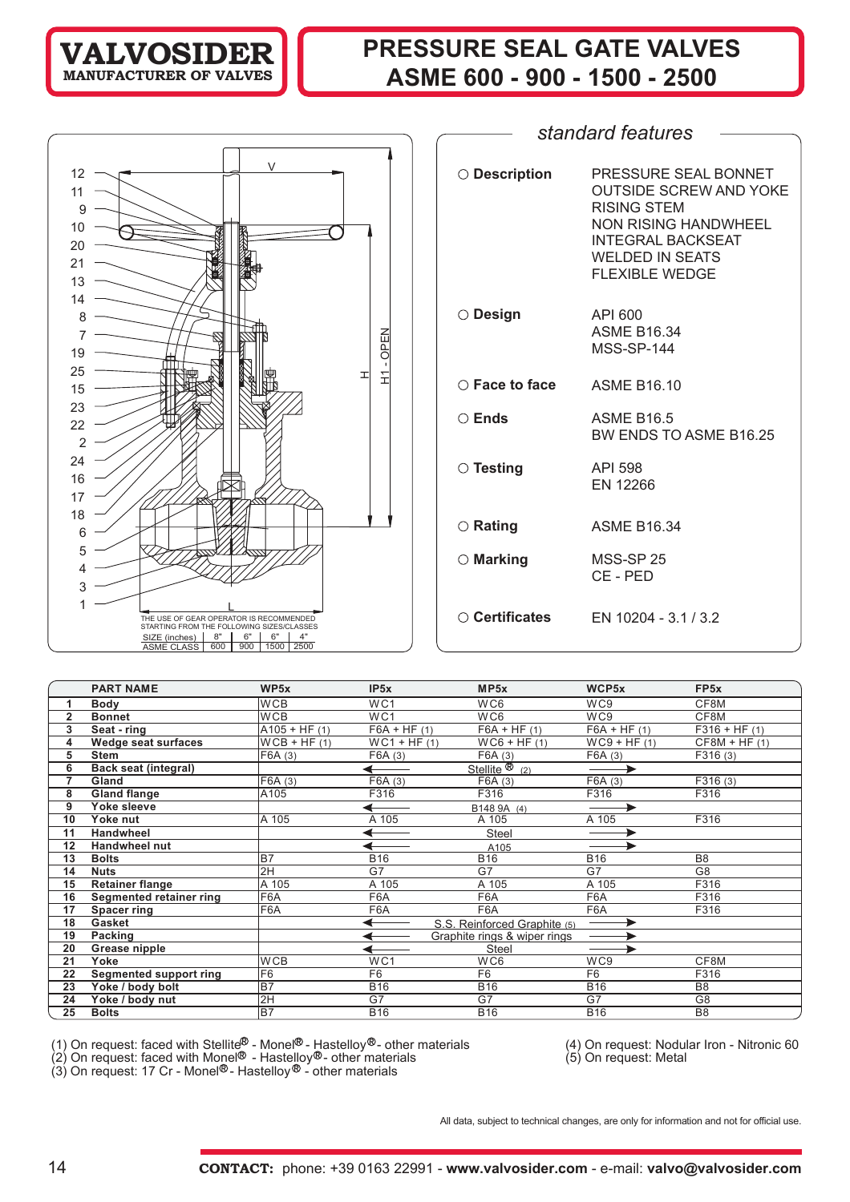## **VALVOSIDER MANUFACTURER OF**

# **PRESSURE SEAL GATE VALVES ASME 600 - 900 - 1500 - 2500**



| standard features       |                                                                                                                                                                                    |  |  |  |  |  |  |  |  |
|-------------------------|------------------------------------------------------------------------------------------------------------------------------------------------------------------------------------|--|--|--|--|--|--|--|--|
|                         |                                                                                                                                                                                    |  |  |  |  |  |  |  |  |
| ◯ Description           | PRESSURE SEAL BONNET<br><b>OUTSIDE SCREW AND YOKE</b><br><b>RISING STEM</b><br><b>NON RISING HANDWHEEL</b><br><b>INTEGRAL BACKSEAT</b><br><b>WELDED IN SEATS</b><br>FLEXIBLE WEDGE |  |  |  |  |  |  |  |  |
| $\circ$ Design          | API 600<br><b>ASME B16.34</b><br><b>MSS-SP-144</b>                                                                                                                                 |  |  |  |  |  |  |  |  |
| $\bigcirc$ Face to face | <b>ASME B16.10</b>                                                                                                                                                                 |  |  |  |  |  |  |  |  |
| $\bigcirc$ Ends         | <b>ASME B16.5</b><br>BW ENDS TO ASME B16.25                                                                                                                                        |  |  |  |  |  |  |  |  |
| $\circ$ Testing         | API 598<br><b>EN 12266</b>                                                                                                                                                         |  |  |  |  |  |  |  |  |
| $\circ$ Rating          | <b>ASME B16.34</b>                                                                                                                                                                 |  |  |  |  |  |  |  |  |
| $\circ$ Marking         | MSS-SP 25<br>CF-PFD                                                                                                                                                                |  |  |  |  |  |  |  |  |
| $\bigcirc$ Certificates | EN 10204 - 3.1 / 3.2                                                                                                                                                               |  |  |  |  |  |  |  |  |

|    | <b>PART NAME</b>              | WP5x            | IP5x            | MP <sub>5x</sub>                      | WCP5x          | FP <sub>5</sub> x |
|----|-------------------------------|-----------------|-----------------|---------------------------------------|----------------|-------------------|
|    | Body                          | <b>WCB</b>      | WC <sub>1</sub> | WC6                                   | WC9            | CF8M              |
| 2  | <b>Bonnet</b>                 | <b>WCB</b>      | WC1             | WC6                                   | WC9            | CF8M              |
| 3  | Seat - ring                   | $A105 + HF (1)$ | $F6A + HF (1)$  | $F6A + HF (1)$                        | $F6A + HF (1)$ | $F316 + HF(1)$    |
| 4  | Wedge seat surfaces           | $WCB + HF (1)$  | $WC1 + HF (1)$  | $WCG + HF (1)$                        | $WC9 + HF (1)$ | $CF8M + HF (1)$   |
| 5  | <b>Stem</b>                   | F6A (3)         | F6A (3)         | F6A(3)                                | F6A(3)         | F316(3)           |
| 6  | Back seat (integral)          |                 |                 | Stellite $\overline{\mathcal{B}}$ (2) |                |                   |
|    | Gland                         | F6A (3)         | F6A (3)         | F6A (3)                               | F6A(3)         | F316(3)           |
| 8  | <b>Gland flange</b>           | A105            | F316            | F316                                  | F316           | F316              |
| 9  | Yoke sleeve                   |                 |                 | B148 9A (4)                           |                |                   |
| 10 | Yoke nut                      | A 105           | A 105           | A 105                                 | A 105          | F316              |
| 11 | Handwheel                     |                 |                 | Steel                                 |                |                   |
| 12 | <b>Handwheel nut</b>          |                 |                 | A105                                  |                |                   |
| 13 | <b>Bolts</b>                  | <b>B7</b>       | <b>B16</b>      | <b>B16</b>                            | <b>B16</b>     | B <sub>8</sub>    |
| 14 | <b>Nuts</b>                   | 2H              | G7              | G7                                    | G7             | G8                |
| 15 | <b>Retainer flange</b>        | A 105           | A 105           | A 105                                 | A 105          | F316              |
| 16 | Segmented retainer ring       | F6A             | F6A             | F6A                                   | F6A            | F316              |
| 17 | Spacer ring                   | F6A             | F6A             | F6A                                   | F6A            | F316              |
| 18 | Gasket                        |                 |                 | S.S. Reinforced Graphite (5)          |                |                   |
| 19 | Packing                       |                 |                 | Graphite rings & wiper rings          |                |                   |
| 20 | Grease nipple                 |                 |                 | <b>Steel</b>                          |                |                   |
| 21 | Yoke                          | <b>WCB</b>      | WC1             | WC6                                   | WC9            | CF8M              |
| 22 | <b>Segmented support ring</b> | F6              | F <sub>6</sub>  | F <sub>6</sub>                        | F <sub>6</sub> | F316              |
| 23 | Yoke / body bolt              | <b>B7</b>       | <b>B16</b>      | <b>B16</b>                            | <b>B16</b>     | B <sub>8</sub>    |
| 24 | Yoke / body nut               | 2H              | G7              | G7                                    | G7             | G <sub>8</sub>    |
| 25 | <b>Bolts</b>                  | <b>B7</b>       | <b>B16</b>      | <b>B16</b>                            | <b>B16</b>     | B <sub>8</sub>    |

(1) On request: faced with Stellite - Monel - Hastelloy - other materials (4) On request: Nodular Iron - Nitronic 60

(2) On request: faced with Monel  $\bullet$  - Hastelloy $\circledast$ - other materials (5) On request: Metal

(3) On request: 17 Cr - Monel®- Hastelloy® - other materials

All data, subject to technical changes, are only for information and not for official use.